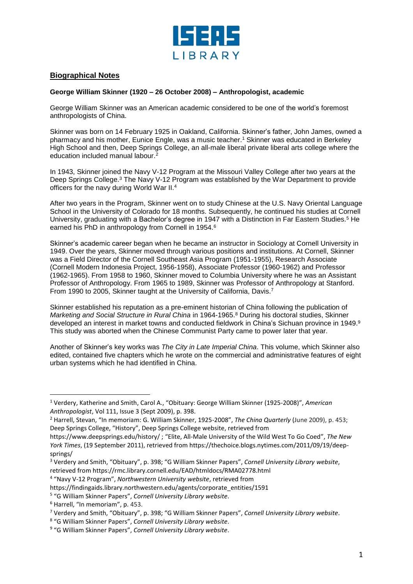

## **Biographical Notes**

## **George William Skinner (1920 – 26 October 2008) – Anthropologist, academic**

George William Skinner was an American academic considered to be one of the world's foremost anthropologists of China.

Skinner was born on 14 February 1925 in Oakland, California. Skinner's father, John James, owned a pharmacy and his mother, Eunice Engle, was a music teacher. <sup>1</sup> Skinner was educated in Berkeley High School and then, Deep Springs College, an all-male liberal private liberal arts college where the education included manual labour.<sup>2</sup>

In 1943, Skinner joined the Navy V-12 Program at the Missouri Valley College after two years at the Deep Springs College.<sup>3</sup> The Navy V-12 Program was established by the War Department to provide officers for the navy during World War II.<sup>4</sup>

After two years in the Program, Skinner went on to study Chinese at the U.S. Navy Oriental Language School in the University of Colorado for 18 months. Subsequently, he continued his studies at Cornell University, graduating with a Bachelor's degree in 1947 with a Distinction in Far Eastern Studies.<sup>5</sup> He earned his PhD in anthropology from Cornell in 1954.<sup>6</sup>

Skinner's academic career began when he became an instructor in Sociology at Cornell University in 1949. Over the years, Skinner moved through various positions and institutions. At Cornell, Skinner was a Field Director of the Cornell Southeast Asia Program (1951-1955), Research Associate (Cornell Modern Indonesia Project, 1956-1958), Associate Professor (1960-1962) and Professor (1962-1965). From 1958 to 1960, Skinner moved to Columbia University where he was an Assistant Professor of Anthropology. From 1965 to 1989, Skinner was Professor of Anthropology at Stanford. From 1990 to 2005, Skinner taught at the University of California, Davis.<sup>7</sup>

Skinner established his reputation as a pre-eminent historian of China following the publication of *Marketing and Social Structure in Rural China* in 1964-1965.<sup>8</sup> During his doctoral studies, Skinner developed an interest in market towns and conducted fieldwork in China's Sichuan province in 1949. 9 This study was aborted when the Chinese Communist Party came to power later that year.

Another of Skinner's key works was *The City in Late Imperial China*. This volume, which Skinner also edited, contained five chapters which he wrote on the commercial and administrative features of eight urban systems which he had identified in China.

https://findingaids.library.northwestern.edu/agents/corporate\_entities/1591

l

<sup>1</sup> Verdery, Katherine and Smith, Carol A., "Obituary: George William Skinner (1925-2008)", *American Anthropologist*, Vol 111, Issue 3 (Sept 2009), p. 398.

<sup>2</sup> Harrell, Stevan, "In memoriam: G. William Skinner, 1925-2008", *The China Quarterly* (June 2009), p. 453; Deep Springs College, "History", Deep Springs College website, retrieved from

https://www.deepsprings.edu/history/ ; "Elite, All-Male University of the Wild West To Go Coed", *The New York Times*, (19 September 2011), retrieved from https://thechoice.blogs.nytimes.com/2011/09/19/deepsprings/

<sup>3</sup> Verdery and Smith, "Obituary", p. 398; "G William Skinner Papers", *Cornell University Library website*, retrieved from https://rmc.library.cornell.edu/EAD/htmldocs/RMA02778.html

<sup>4</sup> "Navy V-12 Program", *Northwestern University website*, retrieved from

<sup>5</sup> "G William Skinner Papers", *Cornell University Library website*.

<sup>6</sup> Harrell, "In memoriam", p. 453.

<sup>7</sup> Verdery and Smith, "Obituary", p. 398; "G William Skinner Papers", *Cornell University Library website*.

<sup>8</sup> "G William Skinner Papers", *Cornell University Library website*.

<sup>9</sup> "G William Skinner Papers", *Cornell University Library website*.